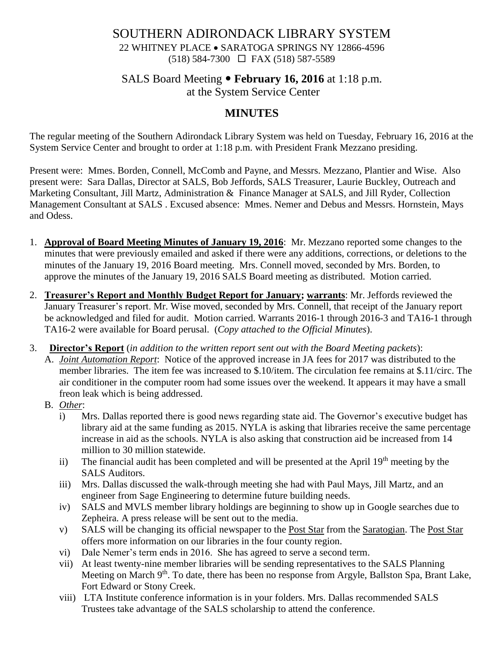### SOUTHERN ADIRONDACK LIBRARY SYSTEM 22 WHITNEY PLACE • SARATOGA SPRINGS NY 12866-4596 (518) 584-7300 FAX (518) 587-5589

# SALS Board Meeting **February 16, 2016** at 1:18 p.m.

at the System Service Center

## **MINUTES**

The regular meeting of the Southern Adirondack Library System was held on Tuesday, February 16, 2016 at the System Service Center and brought to order at 1:18 p.m. with President Frank Mezzano presiding.

Present were: Mmes. Borden, Connell, McComb and Payne, and Messrs. Mezzano, Plantier and Wise. Also present were: Sara Dallas, Director at SALS, Bob Jeffords, SALS Treasurer, Laurie Buckley, Outreach and Marketing Consultant, Jill Martz, Administration & Finance Manager at SALS, and Jill Ryder, Collection Management Consultant at SALS . Excused absence: Mmes. Nemer and Debus and Messrs. Hornstein, Mays and Odess.

- 1. **Approval of Board Meeting Minutes of January 19, 2016**: Mr. Mezzano reported some changes to the minutes that were previously emailed and asked if there were any additions, corrections, or deletions to the minutes of the January 19, 2016 Board meeting. Mrs. Connell moved, seconded by Mrs. Borden, to approve the minutes of the January 19, 2016 SALS Board meeting as distributed. Motion carried.
- 2. **Treasurer's Report and Monthly Budget Report for January; warrants**: Mr. Jeffords reviewed the January Treasurer's report. Mr. Wise moved, seconded by Mrs. Connell, that receipt of the January report be acknowledged and filed for audit. Motion carried. Warrants 2016-1 through 2016-3 and TA16-1 through TA16-2 were available for Board perusal. (*Copy attached to the Official Minutes*).
- 3. **Director's Report** (*in addition to the written report sent out with the Board Meeting packets*):
	- A. *Joint Automation Report*: Notice of the approved increase in JA fees for 2017 was distributed to the member libraries. The item fee was increased to \$.10/item. The circulation fee remains at \$.11/circ. The air conditioner in the computer room had some issues over the weekend. It appears it may have a small freon leak which is being addressed.
	- B. *Other*:
		- i) Mrs. Dallas reported there is good news regarding state aid. The Governor's executive budget has library aid at the same funding as 2015. NYLA is asking that libraries receive the same percentage increase in aid as the schools. NYLA is also asking that construction aid be increased from 14 million to 30 million statewide.
		- ii) The financial audit has been completed and will be presented at the April  $19<sup>th</sup>$  meeting by the SALS Auditors.
		- iii) Mrs. Dallas discussed the walk-through meeting she had with Paul Mays, Jill Martz, and an engineer from Sage Engineering to determine future building needs.
		- iv) SALS and MVLS member library holdings are beginning to show up in Google searches due to Zepheira. A press release will be sent out to the media.
		- v) SALS will be changing its official newspaper to the Post Star from the Saratogian. The Post Star offers more information on our libraries in the four county region.
		- vi) Dale Nemer's term ends in 2016. She has agreed to serve a second term.
		- vii) At least twenty-nine member libraries will be sending representatives to the SALS Planning Meeting on March 9<sup>th</sup>. To date, there has been no response from Argyle, Ballston Spa, Brant Lake, Fort Edward or Stony Creek.
		- viii) LTA Institute conference information is in your folders. Mrs. Dallas recommended SALS Trustees take advantage of the SALS scholarship to attend the conference.